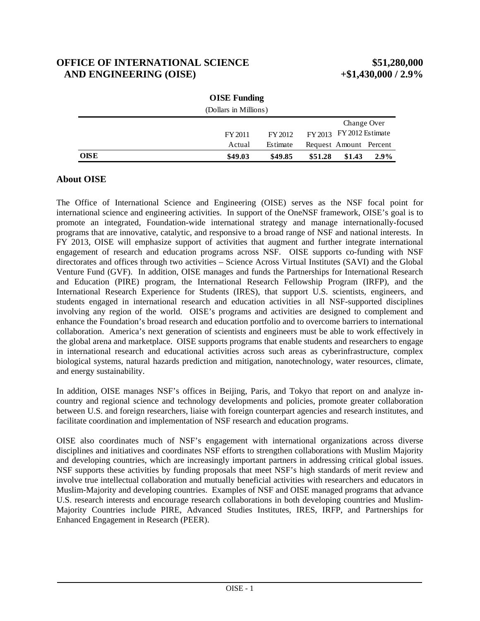# **OFFICE OF INTERNATIONAL SCIENCE \$51,280,000 AND ENGINEERING (OISE) +\$1,430,000 / 2.9%**

|             | <b>OISE Funding</b>   |          |                              |
|-------------|-----------------------|----------|------------------------------|
|             | (Dollars in Millions) |          |                              |
|             |                       |          | Change Over                  |
|             | FY 2011               | FY 2012  | $FY2013$ $FY2012$ Estimate   |
|             | Actual                | Estimate | Request Amount Percent       |
| <b>OISE</b> | \$49.03               | \$49.85  | \$51.28<br>\$1.43<br>$2.9\%$ |

| <b>OISE Funding</b>   |  |
|-----------------------|--|
| (Dollars in Millions) |  |

## **About OISE**

The Office of International Science and Engineering (OISE) serves as the NSF focal point for international science and engineering activities. In support of the OneNSF framework, OISE's goal is to promote an integrated, Foundation-wide international strategy and manage internationally-focused programs that are innovative, catalytic, and responsive to a broad range of NSF and national interests. In FY 2013, OISE will emphasize support of activities that augment and further integrate international engagement of research and education programs across NSF. OISE supports co-funding with NSF directorates and offices through two activities – Science Across Virtual Institutes (SAVI) and the Global Venture Fund (GVF). In addition, OISE manages and funds the Partnerships for International Research and Education (PIRE) program, the International Research Fellowship Program (IRFP), and the International Research Experience for Students (IRES), that support U.S. scientists, engineers, and students engaged in international research and education activities in all NSF-supported disciplines involving any region of the world. OISE's programs and activities are designed to complement and enhance the Foundation's broad research and education portfolio and to overcome barriers to international collaboration. America's next generation of scientists and engineers must be able to work effectively in the global arena and marketplace. OISE supports programs that enable students and researchers to engage in international research and educational activities across such areas as cyberinfrastructure, complex biological systems, natural hazards prediction and mitigation, nanotechnology, water resources, climate, and energy sustainability.

In addition, OISE manages NSF's offices in Beijing, Paris, and Tokyo that report on and analyze incountry and regional science and technology developments and policies, promote greater collaboration between U.S. and foreign researchers, liaise with foreign counterpart agencies and research institutes, and facilitate coordination and implementation of NSF research and education programs.

OISE also coordinates much of NSF's engagement with international organizations across diverse disciplines and initiatives and coordinates NSF efforts to strengthen collaborations with Muslim Majority and developing countries, which are increasingly important partners in addressing critical global issues. NSF supports these activities by funding proposals that meet NSF's high standards of merit review and involve true intellectual collaboration and mutually beneficial activities with researchers and educators in Muslim-Majority and developing countries. Examples of NSF and OISE managed programs that advance U.S. research interests and encourage research collaborations in both developing countries and Muslim-Majority Countries include PIRE, Advanced Studies Institutes, IRES, IRFP, and Partnerships for Enhanced Engagement in Research (PEER).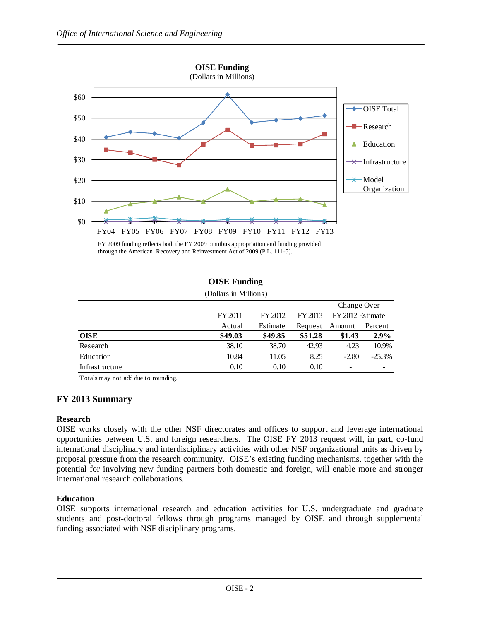

through the American Recovery and Reinvestment Act of 2009 (P.L. 111-5).

| (Dollars in Millions) |         |          |         |                              |          |
|-----------------------|---------|----------|---------|------------------------------|----------|
|                       |         |          |         | Change Over                  |          |
|                       | FY 2011 | FY 2012  | FY 2013 | FY 2012 Estimate             |          |
|                       | Actual  | Estimate | Request | Amount                       | Percent  |
| <b>OISE</b>           | \$49.03 | \$49.85  | \$51.28 | \$1.43                       | 2.9%     |
| Research              | 38.10   | 38.70    | 42.93   | 4.23                         | 10.9%    |
| Education             | 10.84   | 11.05    | 8.25    | $-2.80$                      | $-25.3%$ |
| Infrastructure        | 0.10    | 0.10     | 0.10    | $\qquad \qquad \blacksquare$ | -        |

**OISE Funding**

Totals may not add due to rounding.

## **FY 2013 Summary**

### **Research**

OISE works closely with the other NSF directorates and offices to support and leverage international opportunities between U.S. and foreign researchers. The OISE FY 2013 request will, in part, co-fund international disciplinary and interdisciplinary activities with other NSF organizational units as driven by proposal pressure from the research community. OISE's existing funding mechanisms, together with the potential for involving new funding partners both domestic and foreign, will enable more and stronger international research collaborations.

### **Education**

OISE supports international research and education activities for U.S. undergraduate and graduate students and post-doctoral fellows through programs managed by OISE and through supplemental funding associated with NSF disciplinary programs.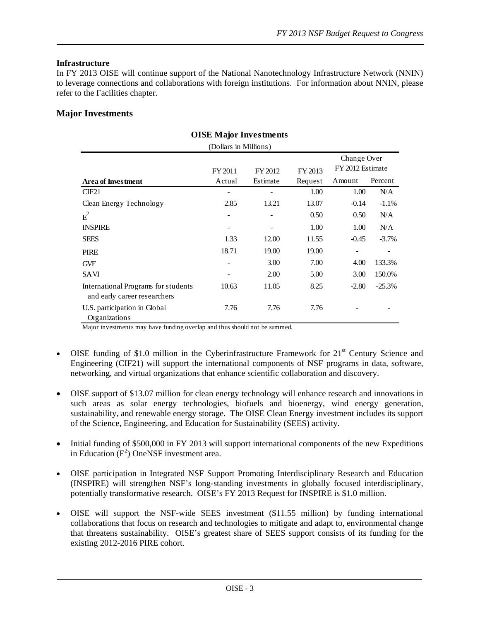### **Infrastructure**

In FY 2013 OISE will continue support of the National Nanotechnology Infrastructure Network (NNIN) to leverage connections and collaborations with foreign institutions. For information about NNIN, please refer to the Facilities chapter.

### **Major Investments**

| OISE Major investments                                              |         |          |         |                  |          |
|---------------------------------------------------------------------|---------|----------|---------|------------------|----------|
| (Dollars in Millions)                                               |         |          |         |                  |          |
|                                                                     |         |          |         | Change Over      |          |
|                                                                     | FY 2011 | FY 2012  | FY 2013 | FY 2012 Estimate |          |
| <b>Area of Investment</b>                                           | Actual  | Estimate | Request | Amount           | Percent  |
| CIF21                                                               |         |          | 1.00    | 1.00             | N/A      |
| Clean Energy Technology                                             | 2.85    | 13.21    | 13.07   | $-0.14$          | $-1.1%$  |
| $E^2$                                                               | -       |          | 0.50    | 0.50             | N/A      |
| <b>INSPIRE</b>                                                      |         |          | 1.00    | 1.00             | N/A      |
| <b>SEES</b>                                                         | 1.33    | 12.00    | 11.55   | $-0.45$          | $-3.7\%$ |
| <b>PIRE</b>                                                         | 18.71   | 19.00    | 19.00   |                  |          |
| <b>GVF</b>                                                          | -       | 3.00     | 7.00    | 4.00             | 133.3%   |
| <b>SAVI</b>                                                         |         | 2.00     | 5.00    | 3.00             | 150.0%   |
| International Programs for students<br>and early career researchers | 10.63   | 11.05    | 8.25    | $-2.80$          | $-25.3%$ |
| U.S. participation in Global<br>Organizations                       | 7.76    | 7.76     | 7.76    |                  |          |

# **OISE Major Investments**

Major investments may have funding overlap and thus should not be summed.

- OISE funding of \$1.0 million in the Cyberinfrastructure Framework for  $21<sup>st</sup>$  Century Science and Engineering (CIF21) will support the international components of NSF programs in data, software, networking, and virtual organizations that enhance scientific collaboration and discovery.
- OISE support of \$13.07 million for clean energy technology will enhance research and innovations in such areas as solar energy technologies, biofuels and bioenergy, wind energy generation, sustainability, and renewable energy storage. The OISE Clean Energy investment includes its support of the Science, Engineering, and Education for Sustainability (SEES) activity.
- Initial funding of \$500,000 in FY 2013 will support international components of the new Expeditions in Education  $(E^2)$  OneNSF investment area.
- OISE participation in Integrated NSF Support Promoting Interdisciplinary Research and Education (INSPIRE) will strengthen NSF's long-standing investments in globally focused interdisciplinary, potentially transformative research. OISE's FY 2013 Request for INSPIRE is \$1.0 million.
- OISE will support the NSF-wide SEES investment (\$11.55 million) by funding international collaborations that focus on research and technologies to mitigate and adapt to, environmental change that threatens sustainability. OISE's greatest share of SEES support consists of its funding for the existing 2012-2016 PIRE cohort.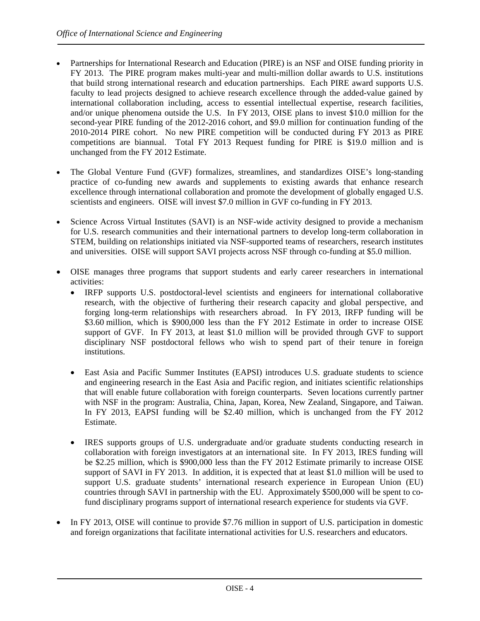- Partnerships for International Research and Education (PIRE) is an NSF and OISE funding priority in FY 2013. The PIRE program makes multi-year and multi-million dollar awards to U.S. institutions that build strong international research and education partnerships. Each PIRE award supports U.S. faculty to lead projects designed to achieve research excellence through the added-value gained by international collaboration including, access to essential intellectual expertise, research facilities, and/or unique phenomena outside the U.S. In FY 2013, OISE plans to invest \$10.0 million for the second-year PIRE funding of the 2012-2016 cohort, and \$9.0 million for continuation funding of the 2010-2014 PIRE cohort. No new PIRE competition will be conducted during FY 2013 as PIRE competitions are biannual. Total FY 2013 Request funding for PIRE is \$19.0 million and is unchanged from the FY 2012 Estimate.
- The Global Venture Fund (GVF) formalizes, streamlines, and standardizes OISE's long-standing practice of co-funding new awards and supplements to existing awards that enhance research excellence through international collaboration and promote the development of globally engaged U.S. scientists and engineers. OISE will invest \$7.0 million in GVF co-funding in FY 2013.
- Science Across Virtual Institutes (SAVI) is an NSF-wide activity designed to provide a mechanism for U.S. research communities and their international partners to develop long-term collaboration in STEM, building on relationships initiated via NSF-supported teams of researchers, research institutes and universities. OISE will support SAVI projects across NSF through co-funding at \$5.0 million.
- OISE manages three programs that support students and early career researchers in international activities:
	- IRFP supports U.S. postdoctoral-level scientists and engineers for international collaborative research, with the objective of furthering their research capacity and global perspective, and forging long-term relationships with researchers abroad. In FY 2013, IRFP funding will be \$3.60 million, which is \$900,000 less than the FY 2012 Estimate in order to increase OISE support of GVF. In FY 2013, at least \$1.0 million will be provided through GVF to support disciplinary NSF postdoctoral fellows who wish to spend part of their tenure in foreign institutions.
	- East Asia and Pacific Summer Institutes (EAPSI) introduces U.S. graduate students to science and engineering research in the East Asia and Pacific region, and initiates scientific relationships that will enable future collaboration with foreign counterparts. Seven locations currently partner with NSF in the program: Australia, China, Japan, Korea, New Zealand, Singapore, and Taiwan. In FY 2013, EAPSI funding will be \$2.40 million, which is unchanged from the FY 2012 Estimate.
	- IRES supports groups of U.S. undergraduate and/or graduate students conducting research in collaboration with foreign investigators at an international site. In FY 2013, IRES funding will be \$2.25 million, which is \$900,000 less than the FY 2012 Estimate primarily to increase OISE support of SAVI in FY 2013. In addition, it is expected that at least \$1.0 million will be used to support U.S. graduate students' international research experience in European Union (EU) countries through SAVI in partnership with the EU. Approximately \$500,000 will be spent to cofund disciplinary programs support of international research experience for students via GVF.
- In FY 2013, OISE will continue to provide \$7.76 million in support of U.S. participation in domestic and foreign organizations that facilitate international activities for U.S. researchers and educators.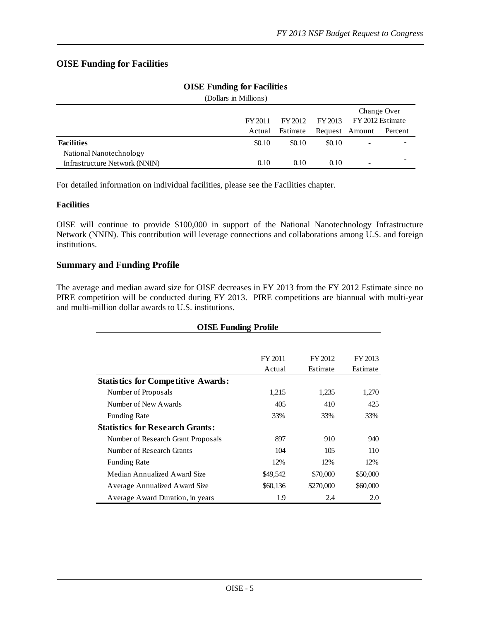# **OISE Funding for Facilities**

| (Dollars in Millions)         |         |          |                |                          |             |
|-------------------------------|---------|----------|----------------|--------------------------|-------------|
|                               |         |          |                |                          | Change Over |
|                               | FY 2011 | FY 2012  | FY 2013        | FY 2012 Estimate         |             |
|                               | Actual  | Estimate | Request Amount |                          | Percent     |
| <b>Facilities</b>             | \$0.10  | \$0.10   | \$0.10         | -                        | -           |
| National Nanotechnology       |         |          |                |                          |             |
| Infrastructure Network (NNIN) | 0.10    | 0.10     | 0.10           | $\overline{\phantom{a}}$ | -           |

## **OISE Funding for Facilities**

For detailed information on individual facilities, please see the Facilities chapter.

### **Facilities**

OISE will continue to provide \$100,000 in support of the National Nanotechnology Infrastructure Network (NNIN). This contribution will leverage connections and collaborations among U.S. and foreign institutions.

### **Summary and Funding Profile**

The average and median award size for OISE decreases in FY 2013 from the FY 2012 Estimate since no PIRE competition will be conducted during FY 2013. PIRE competitions are biannual with multi-year and multi-million dollar awards to U.S. institutions.

| <b>OISE Funding Profile</b>               |          |           |          |  |  |
|-------------------------------------------|----------|-----------|----------|--|--|
|                                           |          |           |          |  |  |
|                                           | FY 2011  | FY 2012   | FY 2013  |  |  |
|                                           | Actual   | Estimate  | Estimate |  |  |
| <b>Statistics for Competitive Awards:</b> |          |           |          |  |  |
| Number of Proposals                       | 1,215    | 1,235     | 1,270    |  |  |
| Number of New Awards                      | 405      | 410       | 425      |  |  |
| <b>Funding Rate</b>                       | 33%      | 33%       | 33%      |  |  |
| <b>Statistics for Research Grants:</b>    |          |           |          |  |  |
| Number of Research Grant Proposals        | 897      | 910       | 940      |  |  |
| Number of Research Grants                 | 104      | 105       | 110      |  |  |
| <b>Funding Rate</b>                       | 12%      | 12%       | 12%      |  |  |
| Median Annualized Award Size              | \$49,542 | \$70,000  | \$50,000 |  |  |
| Average Annualized Award Size             | \$60,136 | \$270,000 | \$60,000 |  |  |
| Average Award Duration, in years          | 1.9      | 2.4       | 2.0      |  |  |